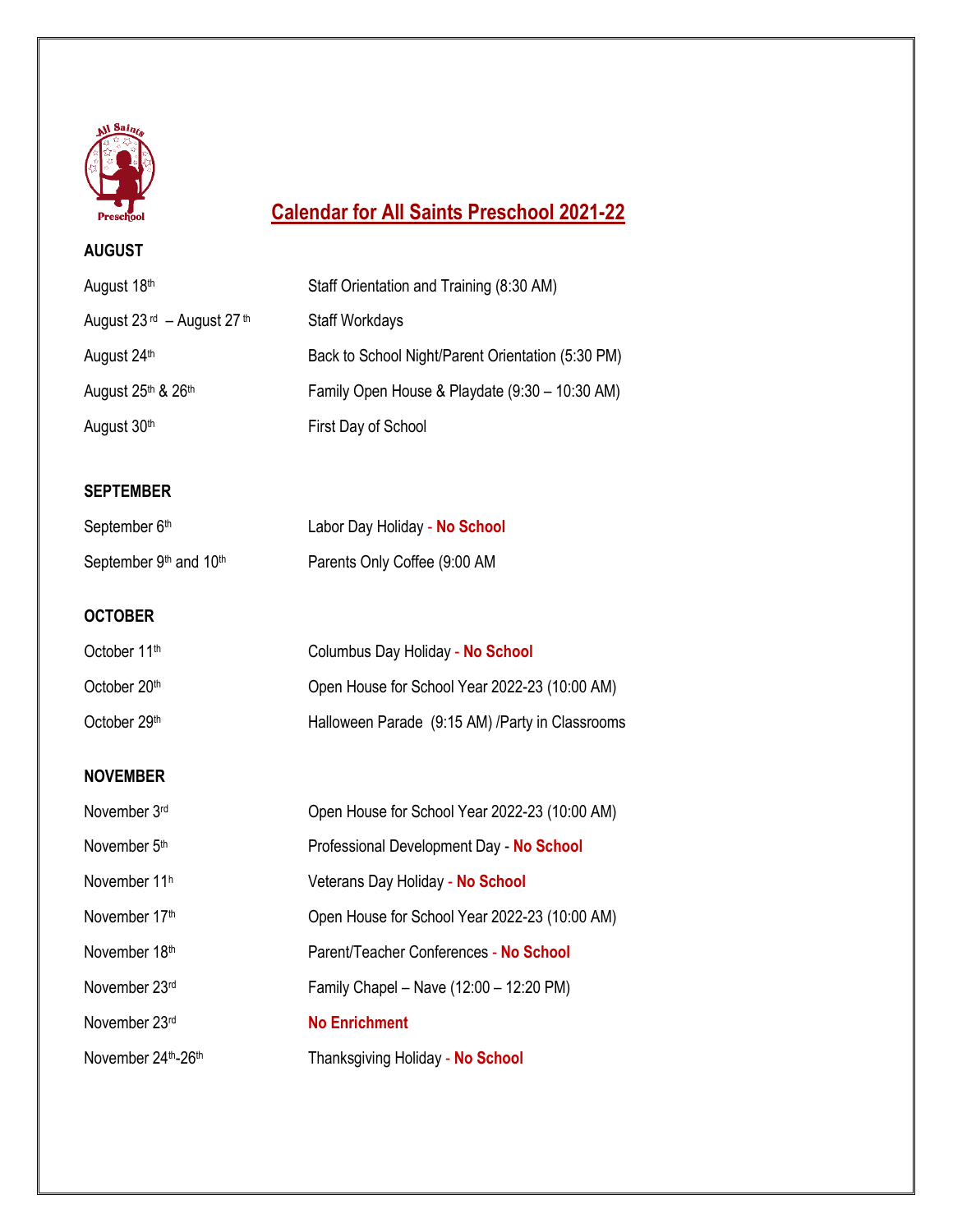

## **Calendar for All Saints Preschool 2021-22**

## **AUGUST**

| August 18th                                           | Staff Orientation and Training (8:30 AM)          |
|-------------------------------------------------------|---------------------------------------------------|
| August $23$ <sup>rd</sup> - August $27$ <sup>th</sup> | <b>Staff Workdays</b>                             |
| August 24th                                           | Back to School Night/Parent Orientation (5:30 PM) |
| August 25th & 26th                                    | Family Open House & Playdate (9:30 - 10:30 AM)    |
| August 30th                                           | First Day of School                               |
|                                                       |                                                   |
| <b>SEPTEMBER</b>                                      |                                                   |
| September 6th                                         | Labor Day Holiday - No School                     |
| September 9th and 10th                                | Parents Only Coffee (9:00 AM                      |
| <b>OCTOBER</b>                                        |                                                   |
| October 11th                                          | Columbus Day Holiday - No School                  |
| October 20th                                          | Open House for School Year 2022-23 (10:00 AM)     |
| October 29th                                          | Halloween Parade (9:15 AM) /Party in Classrooms   |
| <b>NOVEMBER</b>                                       |                                                   |
| November 3rd                                          | Open House for School Year 2022-23 (10:00 AM)     |
| November 5th                                          | Professional Development Day - No School          |
| November 11h                                          | Veterans Day Holiday - No School                  |
| November 17th                                         | Open House for School Year 2022-23 (10:00 AM)     |
| November 18th                                         | Parent/Teacher Conferences - No School            |
| November 23rd                                         | Family Chapel - Nave (12:00 - 12:20 PM)           |
| November 23rd                                         | <b>No Enrichment</b>                              |
| November 24th-26th                                    | Thanksgiving Holiday - No School                  |